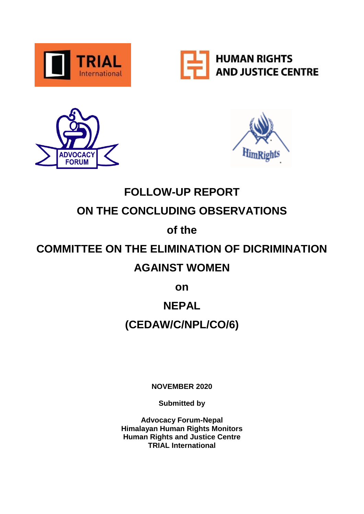







## **FOLLOW-UP REPORT ON THE CONCLUDING OBSERVATIONS**

### **of the**

# **COMMITTEE ON THE ELIMINATION OF DICRIMINATION**

### **AGAINST WOMEN**

**on**

## **NEPAL**

## **(CEDAW/C/NPL/CO/6)**

**NOVEMBER 2020**

**Submitted by**

**Advocacy Forum-Nepal Himalayan Human Rights Monitors Human Rights and Justice Centre TRIAL International**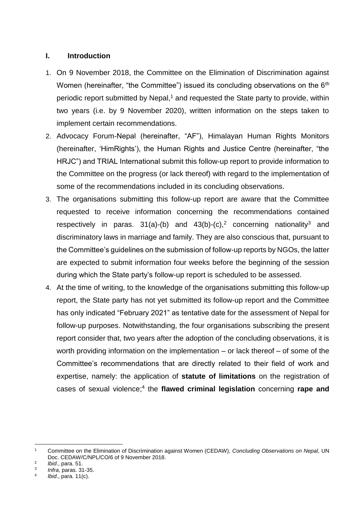#### **I. Introduction**

- 1. On 9 November 2018, the Committee on the Elimination of Discrimination against Women (hereinafter, "the Committee") issued its concluding observations on the 6<sup>th</sup> periodic report submitted by Nepal,<sup>1</sup> and requested the State party to provide, within two years (i.e. by 9 November 2020), written information on the steps taken to implement certain recommendations.
- 2. Advocacy Forum-Nepal (hereinafter, "AF"), Himalayan Human Rights Monitors (hereinafter, 'HimRights'), the Human Rights and Justice Centre (hereinafter, "the HRJC") and TRIAL International submit this follow-up report to provide information to the Committee on the progress (or lack thereof) with regard to the implementation of some of the recommendations included in its concluding observations.
- 3. The organisations submitting this follow-up report are aware that the Committee requested to receive information concerning the recommendations contained respectively in paras.  $31(a)$ -(b) and  $43(b)$ -(c),<sup>2</sup> concerning nationality<sup>3</sup> and discriminatory laws in marriage and family. They are also conscious that, pursuant to the Committee's guidelines on the submission of follow-up reports by NGOs, the latter are expected to submit information four weeks before the beginning of the session during which the State party's follow-up report is scheduled to be assessed.
- 4. At the time of writing, to the knowledge of the organisations submitting this follow-up report, the State party has not yet submitted its follow-up report and the Committee has only indicated "February 2021" as tentative date for the assessment of Nepal for follow-up purposes. Notwithstanding, the four organisations subscribing the present report consider that, two years after the adoption of the concluding observations, it is worth providing information on the implementation – or lack thereof – of some of the Committee's recommendations that are directly related to their field of work and expertise, namely: the application of **statute of limitations** on the registration of cases of sexual violence;<sup>4</sup> the flawed criminal legislation concerning rape and

 $\overline{1}$ <sup>1</sup> Committee on the Elimination of Discrimination against Women (CEDAW), *Concluding Observations on Nepal*, UN Doc. CEDAW/C/NPL/CO/6 of 9 November 2018.

<sup>2</sup> *Ibid*., para. 51.

<sup>3</sup> *Infra*, paras. 31-35. 4

*Ibid*., para. 11(c).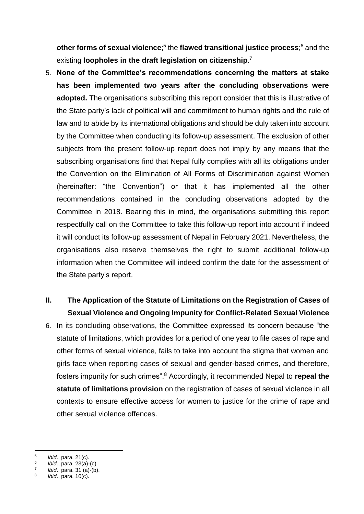**other forms of sexual violence**;<sup>5</sup> the **flawed transitional justice process**;<sup>6</sup> and the existing **loopholes in the draft legislation on citizenship**. 7

5. **None of the Committee's recommendations concerning the matters at stake has been implemented two years after the concluding observations were adopted.** The organisations subscribing this report consider that this is illustrative of the State party's lack of political will and commitment to human rights and the rule of law and to abide by its international obligations and should be duly taken into account by the Committee when conducting its follow-up assessment. The exclusion of other subjects from the present follow-up report does not imply by any means that the subscribing organisations find that Nepal fully complies with all its obligations under the Convention on the Elimination of All Forms of Discrimination against Women (hereinafter: "the Convention") or that it has implemented all the other recommendations contained in the concluding observations adopted by the Committee in 2018. Bearing this in mind, the organisations submitting this report respectfully call on the Committee to take this follow-up report into account if indeed it will conduct its follow-up assessment of Nepal in February 2021. Nevertheless, the organisations also reserve themselves the right to submit additional follow-up information when the Committee will indeed confirm the date for the assessment of the State party's report.

### **II. The Application of the Statute of Limitations on the Registration of Cases of Sexual Violence and Ongoing Impunity for Conflict-Related Sexual Violence**

6. In its concluding observations, the Committee expressed its concern because "the statute of limitations, which provides for a period of one year to file cases of rape and other forms of sexual violence, fails to take into account the stigma that women and girls face when reporting cases of sexual and gender-based crimes, and therefore, fosters impunity for such crimes".<sup>8</sup> Accordingly, it recommended Nepal to **repeal the statute of limitations provision** on the registration of cases of sexual violence in all contexts to ensure effective access for women to justice for the crime of rape and other sexual violence offences.

<sup>-&</sup>lt;br>5 *Ibid*., para. 21(c).

<sup>6</sup> *Ibid*., para. 23(a)-(c). 7

*Ibid*., para. 31 (a)-(b).

<sup>8</sup> *Ibid*., para. 10(c).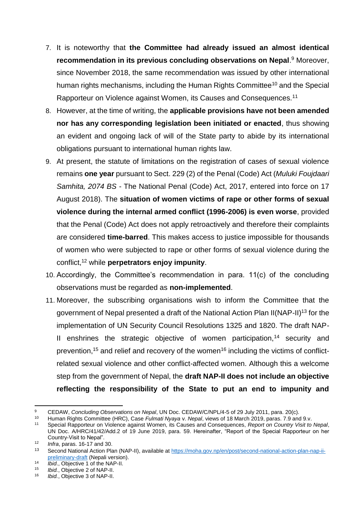- 7. It is noteworthy that **the Committee had already issued an almost identical recommendation in its previous concluding observations on Nepal**. <sup>9</sup> Moreover, since November 2018, the same recommendation was issued by other international human rights mechanisms, including the Human Rights Committee<sup>10</sup> and the Special Rapporteur on Violence against Women, its Causes and Consequences.<sup>11</sup>
- 8. However, at the time of writing, the **applicable provisions have not been amended nor has any corresponding legislation been initiated or enacted**, thus showing an evident and ongoing lack of will of the State party to abide by its international obligations pursuant to international human rights law.
- 9. At present, the statute of limitations on the registration of cases of sexual violence remains **one year** pursuant to Sect. 229 (2) of the Penal (Code) Act (*Muluki Foujdaari Samhita, 2074 BS* - The National Penal (Code) Act, 2017, entered into force on 17 August 2018). The **situation of women victims of rape or other forms of sexual violence during the internal armed conflict (1996-2006) is even worse**, provided that the Penal (Code) Act does not apply retroactively and therefore their complaints are considered **time-barred**. This makes access to justice impossible for thousands of women who were subjected to rape or other forms of sexual violence during the conflict,<sup>12</sup> while **perpetrators enjoy impunity**.
- 10. Accordingly, the Committee's recommendation in para. 11(c) of the concluding observations must be regarded as **non-implemented**.
- 11. Moreover, the subscribing organisations wish to inform the Committee that the government of Nepal presented a draft of the National Action Plan II(NAP-II)<sup>13</sup> for the implementation of UN Security Council Resolutions 1325 and 1820. The draft NAP-II enshrines the strategic objective of women participation,<sup>14</sup> security and prevention,<sup>15</sup> and relief and recovery of the women<sup>16</sup> including the victims of conflictrelated sexual violence and other conflict-affected women. Although this a welcome step from the government of Nepal, the **draft NAP-II does not include an objective reflecting the responsibility of the State to put an end to impunity and**

 $\mathbf{9}$ <sup>9</sup> CEDAW, *Concluding Observations on Nepal*, UN Doc. CEDAW/C/NPL/4-5 of 29 July 2011, para. 20(c).

<sup>10</sup> Human Rights Committee (HRC), Case *Fulmati Nyaya* v. *Nepal*, views of 18 March 2019, paras. 7.9 and 9.v.

<sup>11</sup> Special Rapporteur on Violence against Women, its Causes and Consequences, *Report on Country Visit to Nepal*, UN Doc. A/HRC/41/42/Add.2 of 19 June 2019, para. 59. Hereinafter, "Report of the Special Rapporteur on her Country-Visit to Nepal".

<sup>&</sup>lt;sup>12</sup> *Infra*, paras. 16-17 and 30.

Second National Action Plan (NAP-II), available at [https://moha.gov.np/en/post/second-national-action-plan-nap-ii](https://moha.gov.np/en/post/second-national-action-plan-nap-ii-preliminary-draft)[preliminary-draft](https://moha.gov.np/en/post/second-national-action-plan-nap-ii-preliminary-draft) (Nepali version).

<sup>14</sup> *Ibid.*, Objective 1 of the NAP-II.

<sup>&</sup>lt;sup>15</sup> *Ibid.*, Objective 2 of NAP-II.<br><sup>16</sup> *Ibid.* Objective 3 of NAP II.

*Ibid.*, Objective 3 of NAP-II.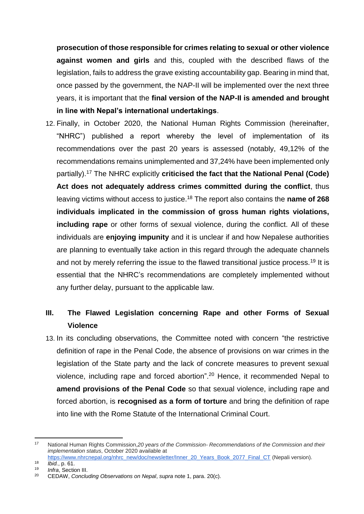**prosecution of those responsible for crimes relating to sexual or other violence against women and girls** and this, coupled with the described flaws of the legislation, fails to address the grave existing accountability gap. Bearing in mind that, once passed by the government, the NAP-II will be implemented over the next three years, it is important that the **final version of the NAP-II is amended and brought in line with Nepal's international undertakings**.

12. Finally, in October 2020, the National Human Rights Commission (hereinafter, "NHRC") published a report whereby the level of implementation of its recommendations over the past 20 years is assessed (notably, 49,12% of the recommendations remains unimplemented and 37,24% have been implemented only partially).<sup>17</sup> The NHRC explicitly **criticised the fact that the National Penal (Code) Act does not adequately address crimes committed during the conflict**, thus leaving victims without access to justice.<sup>18</sup> The report also contains the **name of 268 individuals implicated in the commission of gross human rights violations, including rape** or other forms of sexual violence, during the conflict. All of these individuals are **enjoying impunity** and it is unclear if and how Nepalese authorities are planning to eventually take action in this regard through the adequate channels and not by merely referring the issue to the flawed transitional justice process.<sup>19</sup> It is essential that the NHRC's recommendations are completely implemented without any further delay, pursuant to the applicable law.

### **III. The Flawed Legislation concerning Rape and other Forms of Sexual Violence**

13. In its concluding observations, the Committee noted with concern "the restrictive definition of rape in the Penal Code, the absence of provisions on war crimes in the legislation of the State party and the lack of concrete measures to prevent sexual violence, including rape and forced abortion".<sup>20</sup> Hence, it recommended Nepal to **amend provisions of the Penal Code** so that sexual violence, including rape and forced abortion, is **recognised as a form of torture** and bring the definition of rape into line with the Rome Statute of the International Criminal Court.

<sup>-</sup><sup>17</sup> National Human Rights Commission,*20 years of the Commission- Recommendations of the Commission and their implementation status*, October 2020 available at [https://www.nhrcnepal.org/nhrc\\_new/doc/newsletter/Inner\\_20\\_Years\\_Book\\_2077\\_Final\\_CT](https://www.nhrcnepal.org/nhrc_new/doc/newsletter/Inner_20_Years_Book_2077_Final_CTP_NHRC.pdf) (Nepali version).

<sup>18</sup> *Ibid.*, p. 61.

<sup>&</sup>lt;sup>19</sup> *Infra*, Section III.<br><sup>20</sup> CEDAM Conclu

<sup>20</sup> CEDAW, *Concluding Observations on Nepal*, *supra* note 1, para. 20(c).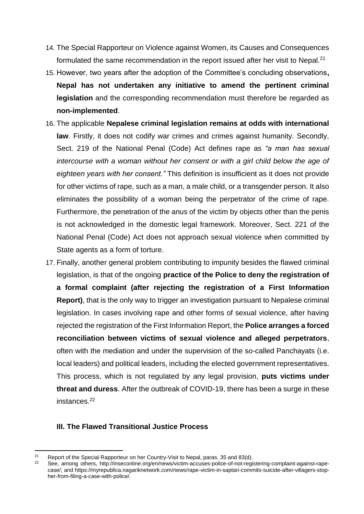- 14. The Special Rapporteur on Violence against Women, its Causes and Consequences formulated the same recommendation in the report issued after her visit to Nepal.<sup>21</sup>
- 15. However, two years after the adoption of the Committee's concluding observations**, Nepal has not undertaken any initiative to amend the pertinent criminal legislation** and the corresponding recommendation must therefore be regarded as **non-implemented**.
- 16. The applicable **Nepalese criminal legislation remains at odds with international law**. Firstly, it does not codify war crimes and crimes against humanity. Secondly, Sect. 219 of the National Penal (Code) Act defines rape as *"a man has sexual intercourse with a woman without her consent or with a girl child below the age of eighteen years with her consent."* This definition is insufficient as it does not provide for other victims of rape, such as a man, a male child, or a transgender person. It also eliminates the possibility of a woman being the perpetrator of the crime of rape. Furthermore, the penetration of the anus of the victim by objects other than the penis is not acknowledged in the domestic legal framework. Moreover, Sect. 221 of the National Penal (Code) Act does not approach sexual violence when committed by State agents as a form of torture.
- 17. Finally, another general problem contributing to impunity besides the flawed criminal legislation, is that of the ongoing **practice of the Police to deny the registration of a formal complaint (after rejecting the registration of a First Information Report)**, that is the only way to trigger an investigation pursuant to Nepalese criminal legislation. In cases involving rape and other forms of sexual violence, after having rejected the registration of the First Information Report, the **Police arranges a forced reconciliation between victims of sexual violence and alleged perpetrators**, often with the mediation and under the supervision of the so-called Panchayats (i.e. local leaders) and political leaders, including the elected government representatives. This process, which is not regulated by any legal provision, **puts victims under threat and duress**. After the outbreak of COVID-19, there has been a surge in these instances.<sup>22</sup>

#### **III. The Flawed Transitional Justice Process**

 $21$ <sup>21</sup> Report of the Special Rapporteur on her Country-Visit to Nepal, paras. 35 and 83(d).<br><sup>22</sup> See among others, http://insesepline.org/pr/noughigtim.com/paras. 35 and 83(d).

See, among others, [http://inseconline.org/en/news/victim-accuses-police-of-not-registering-complaint-against-rape](http://inseconline.org/en/news/victim-accuses-police-of-not-registering-complaint-against-rape-case/)[case/;](http://inseconline.org/en/news/victim-accuses-police-of-not-registering-complaint-against-rape-case/) and [https://myrepublica.nagariknetwork.com/news/rape-victim-in-saptari-commits-suicide-after-villagers-stop](https://myrepublica.nagariknetwork.com/news/rape-victim-in-saptari-commits-suicide-after-villagers-stop-her-from-filing-a-case-with-police/)[her-from-filing-a-case-with-police/.](https://myrepublica.nagariknetwork.com/news/rape-victim-in-saptari-commits-suicide-after-villagers-stop-her-from-filing-a-case-with-police/)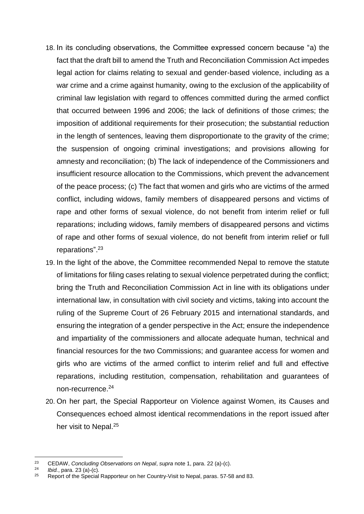- 18. In its concluding observations, the Committee expressed concern because "a) the fact that the draft bill to amend the Truth and Reconciliation Commission Act impedes legal action for claims relating to sexual and gender-based violence, including as a war crime and a crime against humanity, owing to the exclusion of the applicability of criminal law legislation with regard to offences committed during the armed conflict that occurred between 1996 and 2006; the lack of definitions of those crimes; the imposition of additional requirements for their prosecution; the substantial reduction in the length of sentences, leaving them disproportionate to the gravity of the crime; the suspension of ongoing criminal investigations; and provisions allowing for amnesty and reconciliation; (b) The lack of independence of the Commissioners and insufficient resource allocation to the Commissions, which prevent the advancement of the peace process; (c) The fact that women and girls who are victims of the armed conflict, including widows, family members of disappeared persons and victims of rape and other forms of sexual violence, do not benefit from interim relief or full reparations; including widows, family members of disappeared persons and victims of rape and other forms of sexual violence, do not benefit from interim relief or full reparations". 23
- 19. In the light of the above, the Committee recommended Nepal to remove the statute of limitations for filing cases relating to sexual violence perpetrated during the conflict; bring the Truth and Reconciliation Commission Act in line with its obligations under international law, in consultation with civil society and victims, taking into account the ruling of the Supreme Court of 26 February 2015 and international standards, and ensuring the integration of a gender perspective in the Act; ensure the independence and impartiality of the commissioners and allocate adequate human, technical and financial resources for the two Commissions; and guarantee access for women and girls who are victims of the armed conflict to interim relief and full and effective reparations, including restitution, compensation, rehabilitation and guarantees of non-recurrence.<sup>24</sup>
- 20. On her part, the Special Rapporteur on Violence against Women, its Causes and Consequences echoed almost identical recommendations in the report issued after her visit to Nepal.<sup>25</sup>

<sup>23</sup> <sup>23</sup> CEDAW, *Concluding Observations on Nepal*, *supra* note 1, para. 22 (a)-(c).

 $^{24}$  *Ibid.*, para. 23 (a)-(c).<br> $^{25}$  **Bonet of the Special** 

<sup>25</sup> Report of the Special Rapporteur on her Country-Visit to Nepal, paras. 57-58 and 83.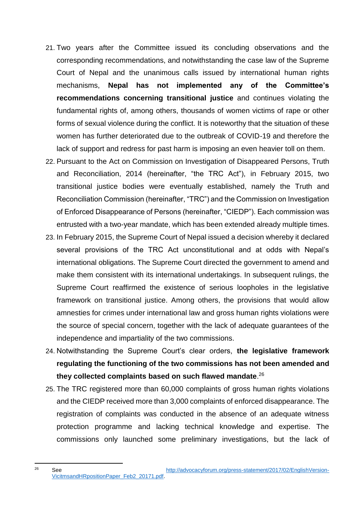- 21. Two years after the Committee issued its concluding observations and the corresponding recommendations, and notwithstanding the case law of the Supreme Court of Nepal and the unanimous calls issued by international human rights mechanisms, **Nepal has not implemented any of the Committee's recommendations concerning transitional justice** and continues violating the fundamental rights of, among others, thousands of women victims of rape or other forms of sexual violence during the conflict. It is noteworthy that the situation of these women has further deteriorated due to the outbreak of COVID-19 and therefore the lack of support and redress for past harm is imposing an even heavier toll on them.
- 22. Pursuant to the Act on Commission on Investigation of Disappeared Persons, Truth and Reconciliation, 2014 (hereinafter, "the TRC Act"), in February 2015, two transitional justice bodies were eventually established, namely the Truth and Reconciliation Commission (hereinafter, "TRC") and the Commission on Investigation of Enforced Disappearance of Persons (hereinafter, "CIEDP"). Each commission was entrusted with a two-year mandate, which has been extended already multiple times.
- 23. In February 2015, the Supreme Court of Nepal issued a decision whereby it declared several provisions of the TRC Act unconstitutional and at odds with Nepal's international obligations. The Supreme Court directed the government to amend and make them consistent with its international undertakings. In subsequent rulings, the Supreme Court reaffirmed the existence of serious loopholes in the legislative framework on transitional justice. Among others, the provisions that would allow amnesties for crimes under international law and gross human rights violations were the source of special concern, together with the lack of adequate guarantees of the independence and impartiality of the two commissions.
- 24. Notwithstanding the Supreme Court's clear orders, **the legislative framework regulating the functioning of the two commissions has not been amended and they collected complaints based on such flawed mandate**. 26
- 25. The TRC registered more than 60,000 complaints of gross human rights violations and the CIEDP received more than 3,000 complaints of enforced disappearance. The registration of complaints was conducted in the absence of an adequate witness protection programme and lacking technical knowledge and expertise. The commissions only launched some preliminary investigations, but the lack of

 $26$ <sup>26</sup> See [http://advocacyforum.org/press-statement/2017/02/EnglishVersion-](http://advocacyforum.org/press-statement/2017/02/EnglishVersion-VicitmsandHRpositionPaper_Feb2_20171.pdf)[VicitmsandHRpositionPaper\\_Feb2\\_20171.pdf.](http://advocacyforum.org/press-statement/2017/02/EnglishVersion-VicitmsandHRpositionPaper_Feb2_20171.pdf)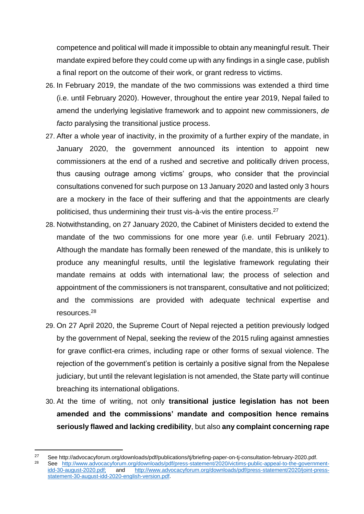competence and political will made it impossible to obtain any meaningful result. Their mandate expired before they could come up with any findings in a single case, publish a final report on the outcome of their work, or grant redress to victims.

- 26. In February 2019, the mandate of the two commissions was extended a third time (i.e. until February 2020). However, throughout the entire year 2019, Nepal failed to amend the underlying legislative framework and to appoint new commissioners, *de facto* paralysing the transitional justice process.
- 27. After a whole year of inactivity, in the proximity of a further expiry of the mandate, in January 2020, the government announced its intention to appoint new commissioners at the end of a rushed and secretive and politically driven process, thus causing outrage among victims' groups, who consider that the provincial consultations convened for such purpose on 13 January 2020 and lasted only 3 hours are a mockery in the face of their suffering and that the appointments are clearly politicised, thus undermining their trust vis-à-vis the entire process.<sup>27</sup>
- 28. Notwithstanding, on 27 January 2020, the Cabinet of Ministers decided to extend the mandate of the two commissions for one more year (i.e. until February 2021). Although the mandate has formally been renewed of the mandate, this is unlikely to produce any meaningful results, until the legislative framework regulating their mandate remains at odds with international law; the process of selection and appointment of the commissioners is not transparent, consultative and not politicized; and the commissions are provided with adequate technical expertise and resources.<sup>28</sup>
- 29. On 27 April 2020, the Supreme Court of Nepal rejected a petition previously lodged by the government of Nepal, seeking the review of the 2015 ruling against amnesties for grave conflict-era crimes, including rape or other forms of sexual violence. The rejection of the government's petition is certainly a positive signal from the Nepalese judiciary, but until the relevant legislation is not amended, the State party will continue breaching its international obligations.
- 30. At the time of writing, not only **transitional justice legislation has not been amended and the commissions' mandate and composition hence remains seriously flawed and lacking credibility**, but also **any complaint concerning rape**

-

<sup>27</sup> See http://advocacyforum.org/downloads/pdf/publications/tj/briefing-paper-on-tj-consultation-february-2020.pdf.<br>28 See http://www.edvesepreterum.org/downloads/pdf/prese.etstamert/2020/victime.public.enneel.ta.the.govern

See http://www.advocacyforum.org/downloads/pdf/press-statement/2020/victims-public-appeal-to-the-government-<br>idd-30-august-2020.pdf; and http://www.advocacyforum.org/downloads/pdf/press-statement/2020/joint-press[http://www.advocacyforum.org/downloads/pdf/press-statement/2020/joint-press](http://www.advocacyforum.org/downloads/pdf/press-statement/2020/joint-press-statement-30-august-idd-2020-english-version.pdf)[statement-30-august-idd-2020-english-version.pdf.](http://www.advocacyforum.org/downloads/pdf/press-statement/2020/joint-press-statement-30-august-idd-2020-english-version.pdf)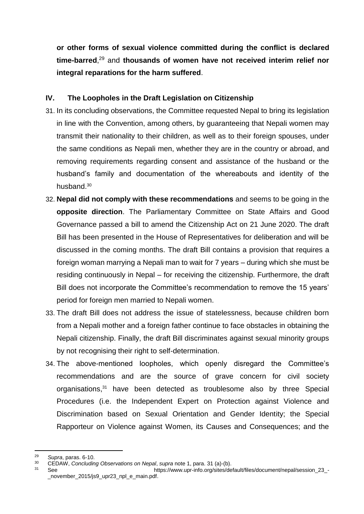**or other forms of sexual violence committed during the conflict is declared time-barred**, <sup>29</sup> and **thousands of women have not received interim relief nor integral reparations for the harm suffered**.

#### **IV. The Loopholes in the Draft Legislation on Citizenship**

- 31. In its concluding observations, the Committee requested Nepal to bring its legislation in line with the Convention, among others, by guaranteeing that Nepali women may transmit their nationality to their children, as well as to their foreign spouses, under the same conditions as Nepali men, whether they are in the country or abroad, and removing requirements regarding consent and assistance of the husband or the husband's family and documentation of the whereabouts and identity of the husband.<sup>30</sup>
- 32. **Nepal did not comply with these recommendations** and seems to be going in the **opposite direction**. The Parliamentary Committee on State Affairs and Good Governance passed a bill to amend the Citizenship Act on 21 June 2020. The draft Bill has been presented in the House of Representatives for deliberation and will be discussed in the coming months. The draft Bill contains a provision that requires a foreign woman marrying a Nepali man to wait for 7 years – during which she must be residing continuously in Nepal – for receiving the citizenship. Furthermore, the draft Bill does not incorporate the Committee's recommendation to remove the 15 years' period for foreign men married to Nepali women.
- 33. The draft Bill does not address the issue of statelessness, because children born from a Nepali mother and a foreign father continue to face obstacles in obtaining the Nepali citizenship. Finally, the draft Bill discriminates against sexual minority groups by not recognising their right to self-determination.
- 34. The above-mentioned loopholes, which openly disregard the Committee's recommendations and are the source of grave concern for civil society organisations, <sup>31</sup> have been detected as troublesome also by three Special Procedures (i.e. the Independent Expert on Protection against Violence and Discrimination based on Sexual Orientation and Gender Identity; the Special Rapporteur on Violence against Women, its Causes and Consequences; and the

<sup>29</sup> <sup>29</sup> *Supra*, paras. 6-10.<br><sup>30</sup> CEDAW Concludin

<sup>30</sup> CEDAW, *Concluding Observations on Nepal*, *supra* note 1, para. 31 (a)-(b).

<sup>31</sup> See https://www.upr-info.org/sites/default/files/document/nepal/session\_23\_ november 2015/js9 upr23 npl e main.pdf.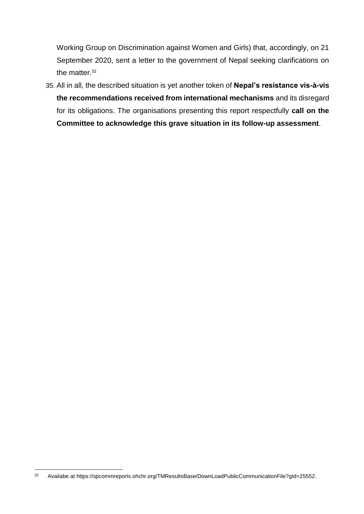Working Group on Discrimination against Women and Girls) that, accordingly, on 21 September 2020, sent a letter to the government of Nepal seeking clarifications on the matter.<sup>32</sup>

35. All in all, the described situation is yet another token of **Nepal's resistance vis-à-vis the recommendations received from international mechanisms** and its disregard for its obligations. The organisations presenting this report respectfully **call on the Committee to acknowledge this grave situation in its follow-up assessment**.

<sup>32</sup> <sup>32</sup> Availabe at https://spcommreports.ohchr.org/TMResultsBase/DownLoadPublicCommunicationFile?gId=25552.